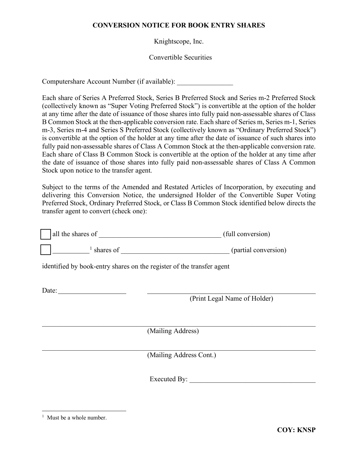## **CONVERSION NOTICE FOR BOOK ENTRY SHARES**

Knightscope, Inc.

Convertible Securities

Computershare Account Number (if available): \_\_\_\_\_\_\_\_\_\_\_\_\_\_\_\_

Each share of Series A Preferred Stock, Series B Preferred Stock and Series m-2 Preferred Stock (collectively known as "Super Voting Preferred Stock") is convertible at the option of the holder at any time after the date of issuance of those shares into fully paid non-assessable shares of Class B Common Stock at the then-applicable conversion rate. Each share of Series m, Series m-1, Series m-3, Series m-4 and Series S Preferred Stock (collectively known as "Ordinary Preferred Stock") is convertible at the option of the holder at any time after the date of issuance of such shares into fully paid non-assessable shares of Class A Common Stock at the then-applicable conversion rate. Each share of Class B Common Stock is convertible at the option of the holder at any time after the date of issuance of those shares into fully paid non-assessable shares of Class A Common Stock upon notice to the transfer agent.

Subject to the terms of the Amended and Restated Articles of Incorporation, by executing and delivering this Conversion Notice, the undersigned Holder of the Convertible Super Voting Preferred Stock, Ordinary Preferred Stock, or Class B Common Stock identified below directs the transfer agent to convert (check one):

| all the shares of | (full conversion) |
|-------------------|-------------------|
|-------------------|-------------------|

 $\frac{1}{2}$  $\frac{1}{2}$  $\frac{1}{2}$  shares of  $\frac{1}{2}$  shares of  $\frac{1}{2}$  shares of  $\frac{1}{2}$  shares of  $\frac{1}{2}$ 

identified by book-entry shares on the register of the transfer agent

Date:

(Print Legal Name of Holder)

(Mailing Address)

\_\_\_\_\_\_\_\_\_\_\_\_\_\_\_\_\_\_\_\_\_\_\_\_\_\_\_\_\_\_\_\_\_\_\_\_\_\_\_\_\_\_\_\_\_\_\_\_\_\_\_\_\_\_\_\_\_\_\_\_\_\_\_\_\_\_\_\_\_\_\_\_\_\_\_\_\_\_

\_\_\_\_\_\_\_\_\_\_\_\_\_\_\_\_\_\_\_\_\_\_\_\_\_\_\_\_\_\_\_\_\_\_\_\_\_\_\_\_\_\_\_\_\_\_\_\_\_\_\_\_\_\_\_\_\_\_\_\_\_\_\_\_\_\_\_\_\_\_\_\_\_\_\_\_\_\_ (Mailing Address Cont.)

Executed By:

<span id="page-0-0"></span><sup>&</sup>lt;sup>1</sup> Must be a whole number.